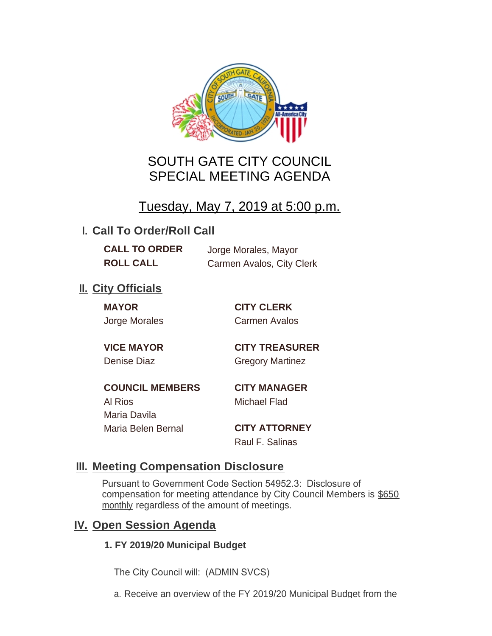

# SOUTH GATE CITY COUNCIL SPECIAL MEETING AGENDA

# Tuesday, May 7, 2019 at 5:00 p.m.

## **I. Call To Order/Roll Call**

**CALL TO ORDER** Jorge Morales, Mayor

**ROLL CALL** Carmen Avalos, City Clerk

## **II.** City Officials

**MAYOR CITY CLERK**

Jorge Morales Carmen Avalos

**VICE MAYOR CITY TREASURER** Denise Diaz Gregory Martinez

**COUNCIL MEMBERS CITY MANAGER** Al Rios Michael Flad Maria Davila Maria Belen Bernal **CITY ATTORNEY**

Raul F. Salinas

### **Meeting Compensation Disclosure III.**

Pursuant to Government Code Section 54952.3: Disclosure of compensation for meeting attendance by City Council Members is \$650 monthly regardless of the amount of meetings.

### **IV.** Open Session Agenda

#### **1. FY 2019/20 Municipal Budget**

The City Council will: (ADMIN SVCS)

a. Receive an overview of the FY 2019/20 Municipal Budget from the